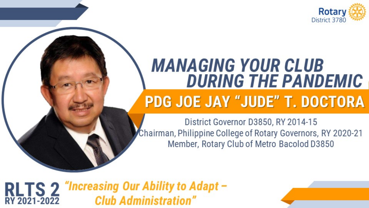

### **MANAGING YOUR CLUB DURING THE PANDEMIC PDG JOE JAY "JUDE" T. DOCTORA**

District Governor D3850, RY 2014-15 Chairman, Philippine College of Rotary Governors, RY 2020-21 Member, Rotary Club of Metro Bacolod D3850

RLTS 2 "Increasing Our Ability to Adapt -<br>RY 2021-2022 Club Administration"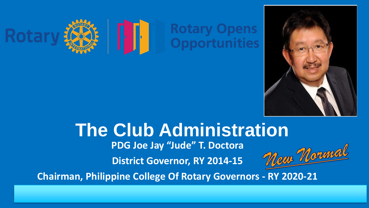



# **The Club Administration**

**PDG Joe Jay "Jude" T. Doctora**

**District Governor, RY 2014-15**



**Chairman, Philippine College Of Rotary Governors - RY 2020-21**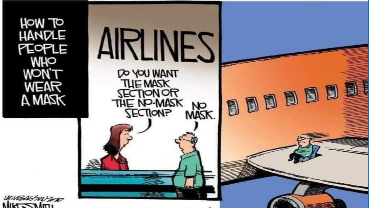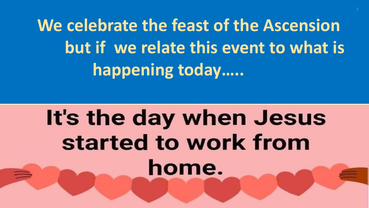**We celebrate the feast of the Ascension but if we relate this event to what is happening today…..**

# It's the day when Jesus started to work from home.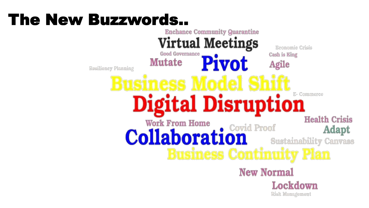#### The New Buzzwords..**Enchance Community Quarantine Virtual Meetings** Economic Crisis Good Governance Cash is King **Pivot Mutate** Agile Resiliency Planning E- Commerce **Digital Disruption Health Crisis Work From Home Collaboration** Adapt **Sustainability Canvass Business Continuity Plan New Normal** Lockdown Risk Management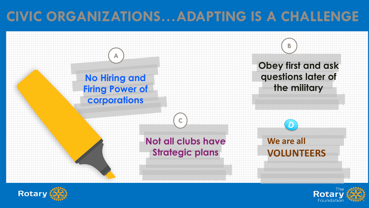# **CIVIC ORGANIZATIONS…ADAPTING IS A CHALLENGE**





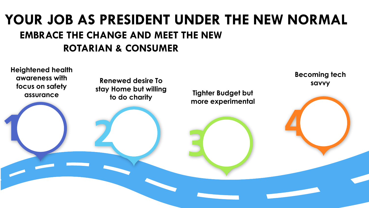### **EMBRACE THE CHANGE AND MEET THE NEW ROTARIAN & CONSUMER YOUR JOB AS PRESIDENT UNDER THE NEW NORMAL**

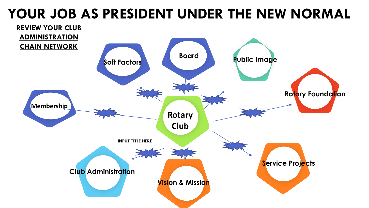## **YOUR JOB AS PRESIDENT UNDER THE NEW NORMAL**

![](_page_7_Figure_1.jpeg)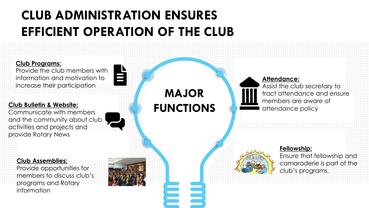## **CLUB ADMINISTRATION ENSURES EFFICIENT OPERATION OF THE CLUB**

![](_page_8_Figure_1.jpeg)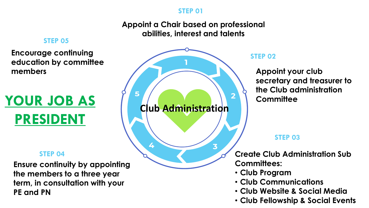#### **STEP 01**

#### **Appoint a Chair based on professional abilities, interest and talents**

#### **STEP 05**

**Encourage continuing education by committee members**

# **YOUR JOB AS PRESIDENT**

#### **STEP 04**

**Ensure continuity by appointing the members to a three year term, in consultation with your PE and PN**

![](_page_9_Figure_7.jpeg)

#### **STEP 02**

**Appoint your club secretary and treasurer to the Club administration Committee**

#### **STEP 03**

**Create Club Administration Sub Committees:**

- **Club Program**
- **Club Communications**
- **Club Website & Social Media**
- **Club Fellowship & Social Events**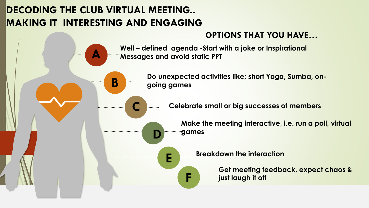### **DECODING THE CLUB VIRTUAL MEETING.. MAKING IT INTERESTING AND ENGAGING**

**B**

**C**

**D**

**F**

**A**

![](_page_10_Figure_1.jpeg)

**Well – defined agenda -Start with a joke or Inspirational Messages and avoid static PPT**

> **Do unexpected activities like; short Yoga, Sumba, ongoing games**

> > **Celebrate small or big successes of members**

**Make the meeting interactive, i.e. run a poll, virtual games**

**Breakdown the interaction E**

**Get meeting feedback, expect chaos & just laugh it off**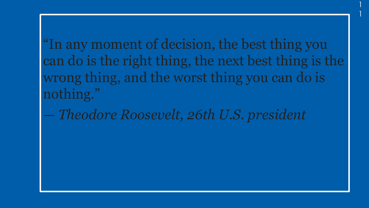"In any moment of decision, the best thing you can do is the right thing, the next best thing is the wrong thing, and the worst thing you can do is nothing."

1

1

*— Theodore Roosevelt, 26th U.S. president*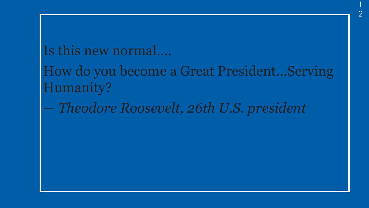### Is this new normal….

How do you become a Great President…Serving Humanity?

1

2

*— Theodore Roosevelt, 26th U.S. president*